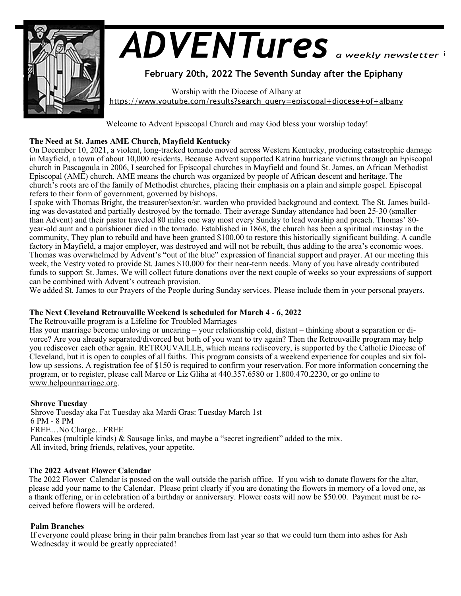

# *ADVENTures*

# **February 20th, 2022 The Seventh Sunday after the Epiphany**

 Worship with the Diocese of Albany at https://www.youtube.com/results?search\_query=episcopal+diocese+of+albany

Welcome to Advent Episcopal Church and may God bless your worship today!

# **The Need at St. James AME Church, Mayfield Kentucky**

On December 10, 2021, a violent, long-tracked tornado moved across Western Kentucky, producing catastrophic damage in Mayfield, a town of about 10,000 residents. Because Advent supported Katrina hurricane victims through an Episcopal church in Pascagoula in 2006, I searched for Episcopal churches in Mayfield and found St. James, an African Methodist Episcopal (AME) church. AME means the church was organized by people of African descent and heritage. The church's roots are of the family of Methodist churches, placing their emphasis on a plain and simple gospel. Episcopal refers to their form of government, governed by bishops.

I spoke with Thomas Bright, the treasurer/sexton/sr. warden who provided background and context. The St. James building was devastated and partially destroyed by the tornado. Their average Sunday attendance had been 25-30 (smaller than Advent) and their pastor traveled 80 miles one way most every Sunday to lead worship and preach. Thomas' 80 year-old aunt and a parishioner died in the tornado. Established in 1868, the church has been a spiritual mainstay in the community, They plan to rebuild and have been granted \$100,00 to restore this historically significant building. A candle factory in Mayfield, a major employer, was destroyed and will not be rebuilt, thus adding to the area's economic woes. Thomas was overwhelmed by Advent's "out of the blue" expression of financial support and prayer. At our meeting this week, the Vestry voted to provide St. James \$10,000 for their near-term needs. Many of you have already contributed funds to support St. James. We will collect future donations over the next couple of weeks so your expressions of support can be combined with Advent's outreach provision.

We added St. James to our Prayers of the People during Sunday services. Please include them in your personal prayers.

# **The Next Cleveland Retrouvaille Weekend is scheduled for March 4 - 6, 2022**

The Retrouvaille program is a Lifeline for Troubled Marriages

Has your marriage become unloving or uncaring – your relationship cold, distant – thinking about a separation or divorce? Are you already separated/divorced but both of you want to try again? Then the Retrouvaille program may help you rediscover each other again. RETROUVAILLE, which means rediscovery, is supported by the Catholic Diocese of Cleveland, but it is open to couples of all faiths. This program consists of a weekend experience for couples and six follow up sessions. A registration fee of \$150 is required to confirm your reservation. For more information concerning the program, or to register, please call Marce or Liz Gliha at 440.357.6580 or 1.800.470.2230, or go online to www.helpourmarriage.org.

# **Shrove Tuesday**

Shrove Tuesday aka Fat Tuesday aka Mardi Gras: Tuesday March 1st 6 PM - 8 PM FREE…No Charge…FREE Pancakes (multiple kinds) & Sausage links, and maybe a "secret ingredient" added to the mix. All invited, bring friends, relatives, your appetite.

## **The 2022 Advent Flower Calendar**

The 2022 Flower Calendar is posted on the wall outside the parish office. If you wish to donate flowers for the altar, please add your name to the Calendar. Please print clearly if you are donating the flowers in memory of a loved one, as a thank offering, or in celebration of a birthday or anniversary. Flower costs will now be \$50.00. Payment must be received before flowers will be ordered.

## **Palm Branches**

If everyone could please bring in their palm branches from last year so that we could turn them into ashes for Ash Wednesday it would be greatly appreciated!